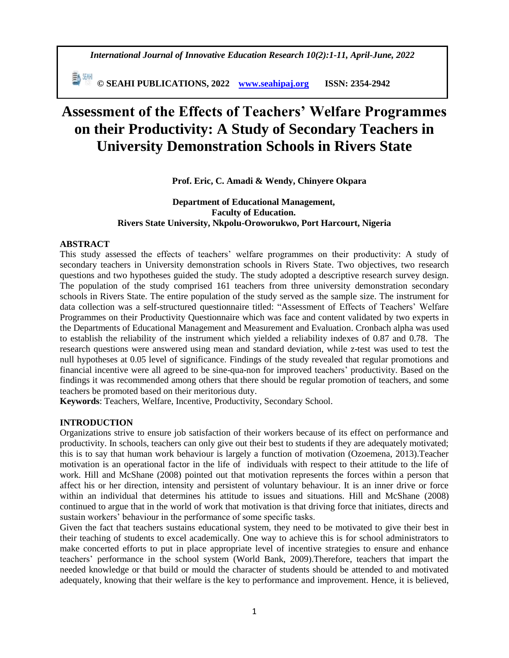*International Journal of Innovative Education Research 10(2):1-11, April-June, 2022*

 **© SEAHI PUBLICATIONS, 2022 [www.seahipaj.org](http://www.seahipaj.org/) ISSN: 2354-2942**

# **Assessment of the Effects of Teachers' Welfare Programmes on their Productivity: A Study of Secondary Teachers in University Demonstration Schools in Rivers State**

**Prof. Eric, C. Amadi & Wendy, Chinyere Okpara** 

# **Department of Educational Management, Faculty of Education. Rivers State University, Nkpolu-Oroworukwo, Port Harcourt, Nigeria**

# **ABSTRACT**

This study assessed the effects of teachers' welfare programmes on their productivity: A study of secondary teachers in University demonstration schools in Rivers State. Two objectives, two research questions and two hypotheses guided the study. The study adopted a descriptive research survey design. The population of the study comprised 161 teachers from three university demonstration secondary schools in Rivers State. The entire population of the study served as the sample size. The instrument for data collection was a self-structured questionnaire titled: "Assessment of Effects of Teachers' Welfare Programmes on their Productivity Questionnaire which was face and content validated by two experts in the Departments of Educational Management and Measurement and Evaluation. Cronbach alpha was used to establish the reliability of the instrument which yielded a reliability indexes of 0.87 and 0.78. The research questions were answered using mean and standard deviation, while z-test was used to test the null hypotheses at 0.05 level of significance. Findings of the study revealed that regular promotions and financial incentive were all agreed to be sine-qua-non for improved teachers' productivity. Based on the findings it was recommended among others that there should be regular promotion of teachers, and some teachers be promoted based on their meritorious duty.

**Keywords**: Teachers, Welfare, Incentive, Productivity, Secondary School.

# **INTRODUCTION**

Organizations strive to ensure job satisfaction of their workers because of its effect on performance and productivity. In schools, teachers can only give out their best to students if they are adequately motivated; this is to say that human work behaviour is largely a function of motivation (Ozoemena, 2013).Teacher motivation is an operational factor in the life of individuals with respect to their attitude to the life of work. Hill and McShane (2008) pointed out that motivation represents the forces within a person that affect his or her direction, intensity and persistent of voluntary behaviour. It is an inner drive or force within an individual that determines his attitude to issues and situations. Hill and McShane (2008) continued to argue that in the world of work that motivation is that driving force that initiates, directs and sustain workers' behaviour in the performance of some specific tasks.

Given the fact that teachers sustains educational system, they need to be motivated to give their best in their teaching of students to excel academically. One way to achieve this is for school administrators to make concerted efforts to put in place appropriate level of incentive strategies to ensure and enhance teachers' performance in the school system (World Bank, 2009).Therefore, teachers that impart the needed knowledge or that build or mould the character of students should be attended to and motivated adequately, knowing that their welfare is the key to performance and improvement. Hence, it is believed,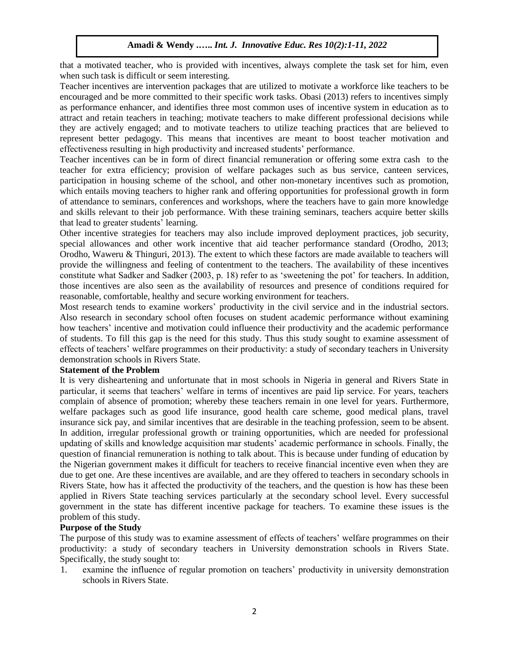that a motivated teacher, who is provided with incentives, always complete the task set for him, even when such task is difficult or seem interesting.

Teacher incentives are intervention packages that are utilized to motivate a workforce like teachers to be encouraged and be more committed to their specific work tasks. Obasi (2013) refers to incentives simply as performance enhancer, and identifies three most common uses of incentive system in education as to attract and retain teachers in teaching; motivate teachers to make different professional decisions while they are actively engaged; and to motivate teachers to utilize teaching practices that are believed to represent better pedagogy. This means that incentives are meant to boost teacher motivation and effectiveness resulting in high productivity and increased students' performance.

Teacher incentives can be in form of direct financial remuneration or offering some extra cash to the teacher for extra efficiency; provision of welfare packages such as bus service, canteen services, participation in housing scheme of the school, and other non-monetary incentives such as promotion, which entails moving teachers to higher rank and offering opportunities for professional growth in form of attendance to seminars, conferences and workshops, where the teachers have to gain more knowledge and skills relevant to their job performance. With these training seminars, teachers acquire better skills that lead to greater students' learning.

Other incentive strategies for teachers may also include improved deployment practices, job security, special allowances and other work incentive that aid teacher performance standard (Orodho, 2013; Orodho, Waweru & Thinguri, 2013). The extent to which these factors are made available to teachers will provide the willingness and feeling of contentment to the teachers. The availability of these incentives constitute what Sadker and Sadker (2003, p. 18) refer to as 'sweetening the pot' for teachers. In addition, those incentives are also seen as the availability of resources and presence of conditions required for reasonable, comfortable, healthy and secure working environment for teachers.

Most research tends to examine workers' productivity in the civil service and in the industrial sectors. Also research in secondary school often focuses on student academic performance without examining how teachers' incentive and motivation could influence their productivity and the academic performance of students. To fill this gap is the need for this study. Thus this study sought to examine assessment of effects of teachers' welfare programmes on their productivity: a study of secondary teachers in University demonstration schools in Rivers State.

## **Statement of the Problem**

It is very disheartening and unfortunate that in most schools in Nigeria in general and Rivers State in particular, it seems that teachers' welfare in terms of incentives are paid lip service. For years, teachers complain of absence of promotion; whereby these teachers remain in one level for years. Furthermore, welfare packages such as good life insurance, good health care scheme, good medical plans, travel insurance sick pay, and similar incentives that are desirable in the teaching profession, seem to be absent. In addition, irregular professional growth or training opportunities, which are needed for professional updating of skills and knowledge acquisition mar students' academic performance in schools. Finally, the question of financial remuneration is nothing to talk about. This is because under funding of education by the Nigerian government makes it difficult for teachers to receive financial incentive even when they are due to get one. Are these incentives are available, and are they offered to teachers in secondary schools in Rivers State, how has it affected the productivity of the teachers, and the question is how has these been applied in Rivers State teaching services particularly at the secondary school level. Every successful government in the state has different incentive package for teachers. To examine these issues is the problem of this study.

# **Purpose of the Study**

The purpose of this study was to examine assessment of effects of teachers' welfare programmes on their productivity: a study of secondary teachers in University demonstration schools in Rivers State. Specifically, the study sought to:

1. examine the influence of regular promotion on teachers' productivity in university demonstration schools in Rivers State.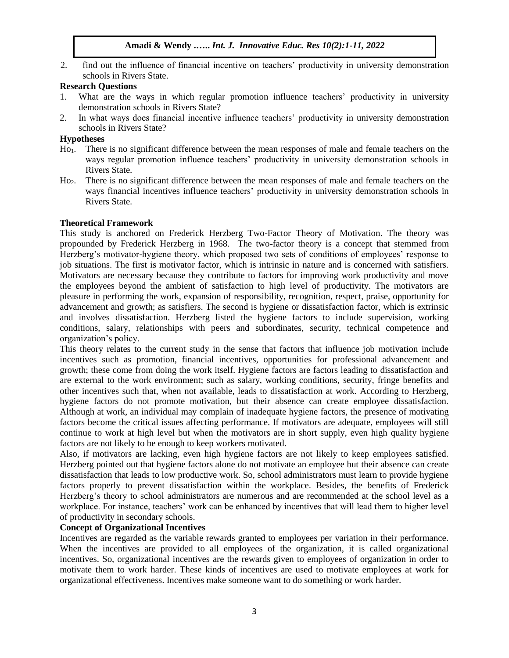2. find out the influence of financial incentive on teachers' productivity in university demonstration schools in Rivers State.

## **Research Questions**

- 1. What are the ways in which regular promotion influence teachers' productivity in university demonstration schools in Rivers State?
- 2. In what ways does financial incentive influence teachers' productivity in university demonstration schools in Rivers State?

## **Hypotheses**

- Ho1. There is no significant difference between the mean responses of male and female teachers on the ways regular promotion influence teachers' productivity in university demonstration schools in Rivers State.
- Ho2. There is no significant difference between the mean responses of male and female teachers on the ways financial incentives influence teachers' productivity in university demonstration schools in Rivers State.

# **Theoretical Framework**

This study is anchored on Frederick Herzberg Two-Factor Theory of Motivation. The theory was propounded by Frederick Herzberg in 1968. The two-factor theory is a concept that stemmed from Herzberg's motivator-hygiene theory, which proposed two sets of conditions of employees' response to job situations. The first is motivator factor, which is intrinsic in nature and is concerned with satisfiers. Motivators are necessary because they contribute to factors for improving work productivity and move the employees beyond the ambient of satisfaction to high level of productivity. The motivators are pleasure in performing the work, expansion of responsibility, recognition, respect, praise, opportunity for advancement and growth; as satisfiers. The second is hygiene or dissatisfaction factor, which is extrinsic and involves dissatisfaction. Herzberg listed the hygiene factors to include supervision, working conditions, salary, relationships with peers and subordinates, security, technical competence and organization's policy.

This theory relates to the current study in the sense that factors that influence job motivation include incentives such as promotion, financial incentives, opportunities for professional advancement and growth; these come from doing the work itself. Hygiene factors are factors leading to dissatisfaction and are external to the work environment; such as salary, working conditions, security, fringe benefits and other incentives such that, when not available, leads to dissatisfaction at work. According to Herzberg, hygiene factors do not promote motivation, but their absence can create employee dissatisfaction. Although at work, an individual may complain of inadequate hygiene factors, the presence of motivating factors become the critical issues affecting performance. If motivators are adequate, employees will still continue to work at high level but when the motivators are in short supply, even high quality hygiene factors are not likely to be enough to keep workers motivated.

Also, if motivators are lacking, even high hygiene factors are not likely to keep employees satisfied. Herzberg pointed out that hygiene factors alone do not motivate an employee but their absence can create dissatisfaction that leads to low productive work. So, school administrators must learn to provide hygiene factors properly to prevent dissatisfaction within the workplace. Besides, the benefits of Frederick Herzberg's theory to school administrators are numerous and are recommended at the school level as a workplace. For instance, teachers' work can be enhanced by incentives that will lead them to higher level of productivity in secondary schools.

# **Concept of Organizational Incentives**

Incentives are regarded as the variable rewards granted to employees per variation in their performance. When the incentives are provided to all employees of the organization, it is called organizational incentives. So, organizational incentives are the rewards given to employees of organization in order to motivate them to work harder. These kinds of incentives are used to motivate employees at work for organizational effectiveness. Incentives make someone want to do something or work harder.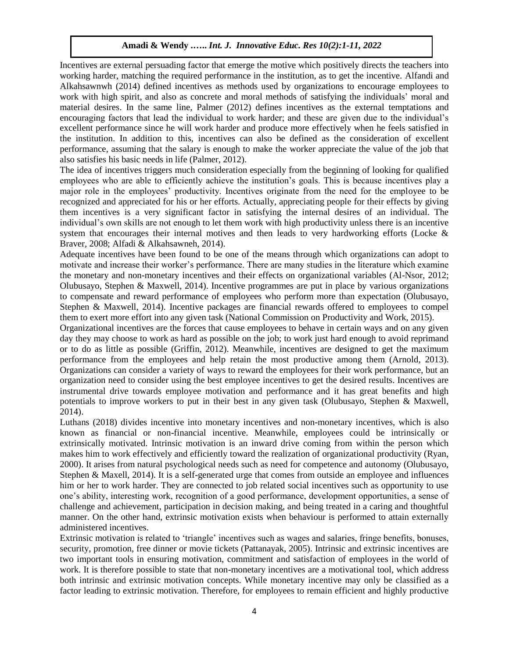Incentives are external persuading factor that emerge the motive which positively directs the teachers into working harder, matching the required performance in the institution, as to get the incentive. Alfandi and Alkahsawnwh (2014) defined incentives as methods used by organizations to encourage employees to work with high spirit, and also as concrete and moral methods of satisfying the individuals' moral and material desires. In the same line, Palmer (2012) defines incentives as the external temptations and encouraging factors that lead the individual to work harder; and these are given due to the individual's excellent performance since he will work harder and produce more effectively when he feels satisfied in the institution. In addition to this, incentives can also be defined as the consideration of excellent performance, assuming that the salary is enough to make the worker appreciate the value of the job that also satisfies his basic needs in life (Palmer, 2012).

The idea of incentives triggers much consideration especially from the beginning of looking for qualified employees who are able to efficiently achieve the institution's goals. This is because incentives play a major role in the employees' productivity. Incentives originate from the need for the employee to be recognized and appreciated for his or her efforts. Actually, appreciating people for their effects by giving them incentives is a very significant factor in satisfying the internal desires of an individual. The individual's own skills are not enough to let them work with high productivity unless there is an incentive system that encourages their internal motives and then leads to very hardworking efforts (Locke & Braver, 2008; Alfadi & Alkahsawneh, 2014).

Adequate incentives have been found to be one of the means through which organizations can adopt to motivate and increase their worker's performance. There are many studies in the literature which examine the monetary and non-monetary incentives and their effects on organizational variables (Al-Nsor, 2012; Olubusayo, Stephen & Maxwell, 2014). Incentive programmes are put in place by various organizations to compensate and reward performance of employees who perform more than expectation (Olubusayo, Stephen & Maxwell, 2014). Incentive packages are financial rewards offered to employees to compel them to exert more effort into any given task (National Commission on Productivity and Work, 2015).

Organizational incentives are the forces that cause employees to behave in certain ways and on any given day they may choose to work as hard as possible on the job; to work just hard enough to avoid reprimand or to do as little as possible (Griffin, 2012). Meanwhile, incentives are designed to get the maximum performance from the employees and help retain the most productive among them (Arnold, 2013). Organizations can consider a variety of ways to reward the employees for their work performance, but an organization need to consider using the best employee incentives to get the desired results. Incentives are instrumental drive towards employee motivation and performance and it has great benefits and high potentials to improve workers to put in their best in any given task (Olubusayo, Stephen & Maxwell, 2014).

Luthans (2018) divides incentive into monetary incentives and non-monetary incentives, which is also known as financial or non-financial incentive. Meanwhile, employees could be intrinsically or extrinsically motivated. Intrinsic motivation is an inward drive coming from within the person which makes him to work effectively and efficiently toward the realization of organizational productivity (Ryan, 2000). It arises from natural psychological needs such as need for competence and autonomy (Olubusayo, Stephen & Maxell, 2014). It is a self-generated urge that comes from outside an employee and influences him or her to work harder. They are connected to job related social incentives such as opportunity to use one's ability, interesting work, recognition of a good performance, development opportunities, a sense of challenge and achievement, participation in decision making, and being treated in a caring and thoughtful manner. On the other hand, extrinsic motivation exists when behaviour is performed to attain externally administered incentives.

Extrinsic motivation is related to 'triangle' incentives such as wages and salaries, fringe benefits, bonuses, security, promotion, free dinner or movie tickets (Pattanayak, 2005). Intrinsic and extrinsic incentives are two important tools in ensuring motivation, commitment and satisfaction of employees in the world of work. It is therefore possible to state that non-monetary incentives are a motivational tool, which address both intrinsic and extrinsic motivation concepts. While monetary incentive may only be classified as a factor leading to extrinsic motivation. Therefore, for employees to remain efficient and highly productive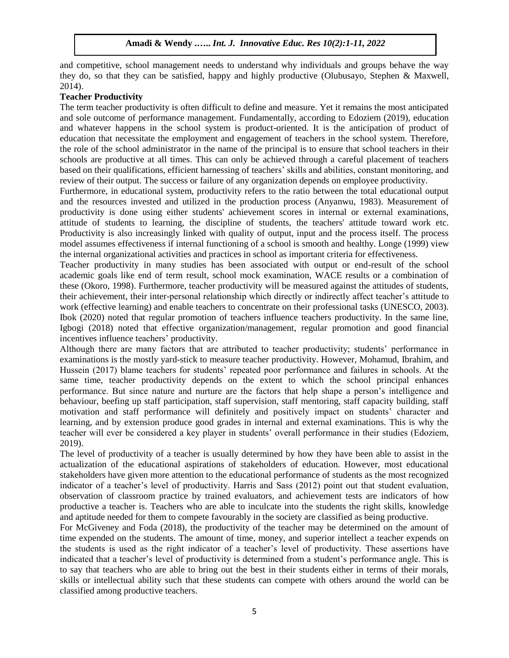and competitive, school management needs to understand why individuals and groups behave the way they do, so that they can be satisfied, happy and highly productive (Olubusayo, Stephen & Maxwell, 2014).

# **Teacher Productivity**

The term teacher productivity is often difficult to define and measure. Yet it remains the most anticipated and sole outcome of performance management. Fundamentally, according to Edoziem (2019), education and whatever happens in the school system is product-oriented. It is the anticipation of product of education that necessitate the employment and engagement of teachers in the school system. Therefore, the role of the school administrator in the name of the principal is to ensure that school teachers in their schools are productive at all times. This can only be achieved through a careful placement of teachers based on their qualifications, efficient harnessing of teachers' skills and abilities, constant monitoring, and review of their output. The success or failure of any organization depends on employee productivity.

Furthermore, in educational system, productivity refers to the ratio between the total educational output and the resources invested and utilized in the production process (Anyanwu, 1983). Measurement of productivity is done using either students' achievement scores in internal or external examinations, attitude of students to learning, the discipline of students, the teachers' attitude toward work etc. Productivity is also increasingly linked with quality of output, input and the process itself. The process model assumes effectiveness if internal functioning of a school is smooth and healthy. Longe (1999) view the internal organizational activities and practices in school as important criteria for effectiveness.

Teacher productivity in many studies has been associated with output or end-result of the school academic goals like end of term result, school mock examination, WACE results or a combination of these (Okoro, 1998). Furthermore, teacher productivity will be measured against the attitudes of students, their achievement, their inter-personal relationship which directly or indirectly affect teacher's attitude to work (effective learning) and enable teachers to concentrate on their professional tasks (UNESCO, 2003). Ibok (2020) noted that regular promotion of teachers influence teachers productivity. In the same line, Igbogi (2018) noted that effective organization/management, regular promotion and good financial incentives influence teachers' productivity.

Although there are many factors that are attributed to teacher productivity; students' performance in examinations is the mostly yard-stick to measure teacher productivity. However, Mohamud, Ibrahim, and Hussein (2017) blame teachers for students' repeated poor performance and failures in schools. At the same time, teacher productivity depends on the extent to which the school principal enhances performance. But since nature and nurture are the factors that help shape a person's intelligence and behaviour, beefing up staff participation, staff supervision, staff mentoring, staff capacity building, staff motivation and staff performance will definitely and positively impact on students' character and learning, and by extension produce good grades in internal and external examinations. This is why the teacher will ever be considered a key player in students' overall performance in their studies (Edoziem, 2019).

The level of productivity of a teacher is usually determined by how they have been able to assist in the actualization of the educational aspirations of stakeholders of education. However, most educational stakeholders have given more attention to the educational performance of students as the most recognized indicator of a teacher's level of productivity. Harris and Sass (2012) point out that student evaluation, observation of classroom practice by trained evaluators, and achievement tests are indicators of how productive a teacher is. Teachers who are able to inculcate into the students the right skills, knowledge and aptitude needed for them to compete favourably in the society are classified as being productive.

For McGiveney and Foda (2018), the productivity of the teacher may be determined on the amount of time expended on the students. The amount of time, money, and superior intellect a teacher expends on the students is used as the right indicator of a teacher's level of productivity. These assertions have indicated that a teacher's level of productivity is determined from a student's performance angle. This is to say that teachers who are able to bring out the best in their students either in terms of their morals, skills or intellectual ability such that these students can compete with others around the world can be classified among productive teachers.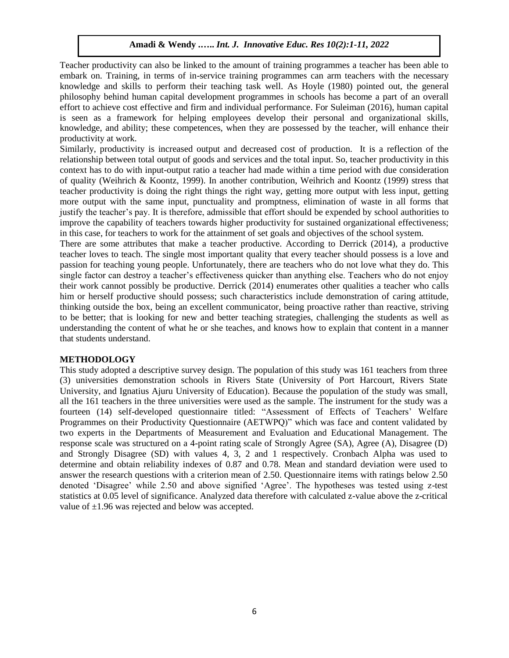Teacher productivity can also be linked to the amount of training programmes a teacher has been able to embark on. Training, in terms of in-service training programmes can arm teachers with the necessary knowledge and skills to perform their teaching task well. As Hoyle (1980) pointed out, the general philosophy behind human capital development programmes in schools has become a part of an overall effort to achieve cost effective and firm and individual performance. For Suleiman (2016), human capital is seen as a framework for helping employees develop their personal and organizational skills, knowledge, and ability; these competences, when they are possessed by the teacher, will enhance their productivity at work.

Similarly, productivity is increased output and decreased cost of production. It is a reflection of the relationship between total output of goods and services and the total input. So, teacher productivity in this context has to do with input-output ratio a teacher had made within a time period with due consideration of quality (Weihrich & Koontz, 1999). In another contribution, Weihrich and Koontz (1999) stress that teacher productivity is doing the right things the right way, getting more output with less input, getting more output with the same input, punctuality and promptness, elimination of waste in all forms that justify the teacher's pay. It is therefore, admissible that effort should be expended by school authorities to improve the capability of teachers towards higher productivity for sustained organizational effectiveness; in this case, for teachers to work for the attainment of set goals and objectives of the school system.

There are some attributes that make a teacher productive. According to Derrick (2014), a productive teacher loves to teach. The single most important quality that every teacher should possess is a love and passion for teaching young people. Unfortunately, there are teachers who do not love what they do. This single factor can destroy a teacher's effectiveness quicker than anything else. Teachers who do not enjoy their work cannot possibly be productive. Derrick (2014) enumerates other qualities a teacher who calls him or herself productive should possess; such characteristics include demonstration of caring attitude, thinking outside the box, being an excellent communicator, being proactive rather than reactive, striving to be better; that is looking for new and better teaching strategies, challenging the students as well as understanding the content of what he or she teaches, and knows how to explain that content in a manner that students understand.

#### **METHODOLOGY**

This study adopted a descriptive survey design. The population of this study was 161 teachers from three (3) universities demonstration schools in Rivers State (University of Port Harcourt, Rivers State University, and Ignatius Ajuru University of Education). Because the population of the study was small, all the 161 teachers in the three universities were used as the sample. The instrument for the study was a fourteen (14) self-developed questionnaire titled: "Assessment of Effects of Teachers' Welfare Programmes on their Productivity Questionnaire (AETWPQ)" which was face and content validated by two experts in the Departments of Measurement and Evaluation and Educational Management. The response scale was structured on a 4-point rating scale of Strongly Agree (SA), Agree (A), Disagree (D) and Strongly Disagree (SD) with values 4, 3, 2 and 1 respectively. Cronbach Alpha was used to determine and obtain reliability indexes of 0.87 and 0.78. Mean and standard deviation were used to answer the research questions with a criterion mean of 2.50. Questionnaire items with ratings below 2.50 denoted 'Disagree' while 2.50 and above signified 'Agree'. The hypotheses was tested using z-test statistics at 0.05 level of significance. Analyzed data therefore with calculated z-value above the z-critical value of  $\pm 1.96$  was rejected and below was accepted.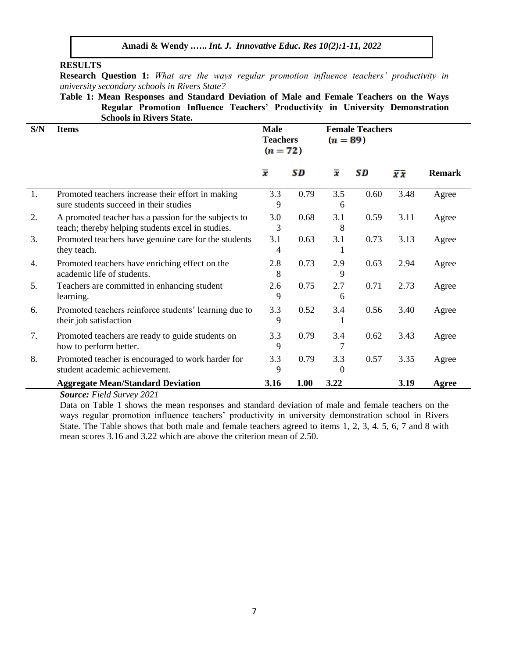# **RESULTS**

**Research Question 1:** *What are the ways regular promotion influence teachers' productivity in university secondary schools in Rivers State?*

**Table 1: Mean Responses and Standard Deviation of Male and Female Teachers on the Ways Regular Promotion Influence Teachers' Productivity in University Demonstration Schools in Rivers State.**

| S/N | <b>Items</b>                                                                                              | <b>Male</b><br><b>Teachers</b><br>$(n = 72)$ |      | <b>Female Teachers</b><br>$(n = 89)$ |      |      |               |
|-----|-----------------------------------------------------------------------------------------------------------|----------------------------------------------|------|--------------------------------------|------|------|---------------|
|     |                                                                                                           | $\overline{\boldsymbol{x}}$                  | SD   | $\overline{\boldsymbol{x}}$          | SD   | πx   | <b>Remark</b> |
| 1.  | Promoted teachers increase their effort in making<br>sure students succeed in their studies               | 3.3<br>9                                     | 0.79 | 3.5<br>6                             | 0.60 | 3.48 | Agree         |
| 2.  | A promoted teacher has a passion for the subjects to<br>teach; thereby helping students excel in studies. | 3.0<br>3                                     | 0.68 | 3.1<br>8                             | 0.59 | 3.11 | Agree         |
| 3.  | Promoted teachers have genuine care for the students<br>they teach.                                       | 3.1<br>4                                     | 0.63 | 3.1                                  | 0.73 | 3.13 | Agree         |
| 4.  | Promoted teachers have enriching effect on the<br>academic life of students.                              | 2.8<br>8                                     | 0.73 | 2.9<br>9                             | 0.63 | 2.94 | Agree         |
| 5.  | Teachers are committed in enhancing student<br>learning.                                                  | 2.6<br>9                                     | 0.75 | 2.7<br>6                             | 0.71 | 2.73 | Agree         |
| 6.  | Promoted teachers reinforce students' learning due to<br>their job satisfaction                           | 3.3<br>9                                     | 0.52 | 3.4                                  | 0.56 | 3.40 | Agree         |
| 7.  | Promoted teachers are ready to guide students on<br>how to perform better.                                | 3.3<br>9                                     | 0.79 | 3.4<br>7                             | 0.62 | 3.43 | Agree         |
| 8.  | Promoted teacher is encouraged to work harder for<br>student academic achievement.                        | 3.3<br>9                                     | 0.79 | 3.3                                  | 0.57 | 3.35 | Agree         |
|     | <b>Aggregate Mean/Standard Deviation</b>                                                                  | 3.16                                         | 1.00 | 3.22                                 |      | 3.19 | Agree         |

*Source: Field Survey 2021*

Data on Table 1 shows the mean responses and standard deviation of male and female teachers on the ways regular promotion influence teachers' productivity in university demonstration school in Rivers State. The Table shows that both male and female teachers agreed to items 1, 2, 3, 4. 5, 6, 7 and 8 with mean scores 3.16 and 3.22 which are above the criterion mean of 2.50.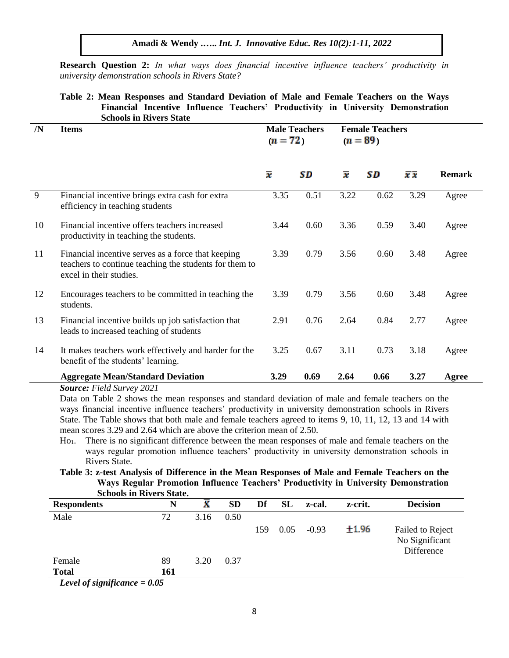**Research Question 2:** *In what ways does financial incentive influence teachers' productivity in university demonstration schools in Rivers State?*

# **Table 2: Mean Responses and Standard Deviation of Male and Female Teachers on the Ways Financial Incentive Influence Teachers' Productivity in University Demonstration Schools in Rivers State**

| /N | <b>Items</b>                                                                                                                            | <b>Male Teachers</b><br>$(n = 72)$ |      | <b>Female Teachers</b><br>$(n = 89)$ |      |      |               |
|----|-----------------------------------------------------------------------------------------------------------------------------------------|------------------------------------|------|--------------------------------------|------|------|---------------|
|    |                                                                                                                                         | $\overline{x}$                     | SD   | $\overline{\bm{x}}$                  | SD   | πx   | <b>Remark</b> |
| 9  | Financial incentive brings extra cash for extra<br>efficiency in teaching students                                                      | 3.35                               | 0.51 | 3.22                                 | 0.62 | 3.29 | Agree         |
| 10 | Financial incentive offers teachers increased<br>productivity in teaching the students.                                                 | 3.44                               | 0.60 | 3.36                                 | 0.59 | 3.40 | Agree         |
| 11 | Financial incentive serves as a force that keeping<br>teachers to continue teaching the students for them to<br>excel in their studies. | 3.39                               | 0.79 | 3.56                                 | 0.60 | 3.48 | Agree         |
| 12 | Encourages teachers to be committed in teaching the<br>students.                                                                        | 3.39                               | 0.79 | 3.56                                 | 0.60 | 3.48 | Agree         |
| 13 | Financial incentive builds up job satisfaction that<br>leads to increased teaching of students                                          | 2.91                               | 0.76 | 2.64                                 | 0.84 | 2.77 | Agree         |
| 14 | It makes teachers work effectively and harder for the<br>benefit of the students' learning.                                             | 3.25                               | 0.67 | 3.11                                 | 0.73 | 3.18 | Agree         |
|    | <b>Aggregate Mean/Standard Deviation</b>                                                                                                | 3.29                               | 0.69 | 2.64                                 | 0.66 | 3.27 | Agree         |
|    | <b>Source: Field Survey 2021</b>                                                                                                        |                                    |      |                                      |      |      |               |

Data on Table 2 shows the mean responses and standard deviation of male and female teachers on the ways financial incentive influence teachers' productivity in university demonstration schools in Rivers State. The Table shows that both male and female teachers agreed to items 9, 10, 11, 12, 13 and 14 with mean scores 3.29 and 2.64 which are above the criterion mean of 2.50.

Ho1. There is no significant difference between the mean responses of male and female teachers on the ways regular promotion influence teachers' productivity in university demonstration schools in Rivers State.

**Table 3: z-test Analysis of Difference in the Mean Responses of Male and Female Teachers on the Ways Regular Promotion Influence Teachers' Productivity in University Demonstration Schools in Rivers State.**

| Denovis in Iwichs State:           |     |      |           |     |           |         |         |                                                  |
|------------------------------------|-----|------|-----------|-----|-----------|---------|---------|--------------------------------------------------|
| <b>Respondents</b>                 | N   |      | <b>SD</b> | Df  | <b>SL</b> | z-cal.  | z-crit. | <b>Decision</b>                                  |
| Male                               | 72  | 3.16 | 0.50      |     |           |         |         |                                                  |
|                                    |     |      |           | 159 | 0.05      | $-0.93$ | ±1.96   | Failed to Reject<br>No Significant<br>Difference |
| Female                             | 89  | 3.20 | 0.37      |     |           |         |         |                                                  |
| <b>Total</b>                       | 161 |      |           |     |           |         |         |                                                  |
| <i>ovel of significance – 0.05</i> |     |      |           |     |           |         |         |                                                  |

*Level of significance = 0.05*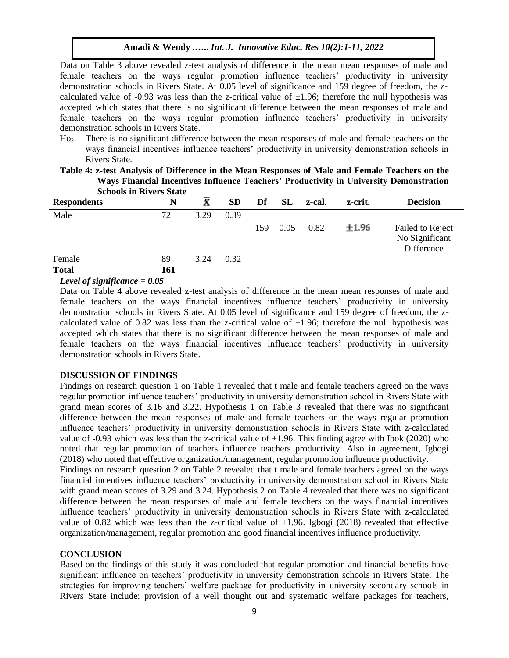Data on Table 3 above revealed z-test analysis of difference in the mean mean responses of male and female teachers on the ways regular promotion influence teachers' productivity in university demonstration schools in Rivers State. At 0.05 level of significance and 159 degree of freedom, the zcalculated value of -0.93 was less than the z-critical value of  $\pm 1.96$ ; therefore the null hypothesis was accepted which states that there is no significant difference between the mean responses of male and female teachers on the ways regular promotion influence teachers' productivity in university demonstration schools in Rivers State.

Ho2. There is no significant difference between the mean responses of male and female teachers on the ways financial incentives influence teachers' productivity in university demonstration schools in Rivers State.

|                                                                                                                                                                                                                                                                                                                                                                                                                                                                                           | <b>Schools in Rivers State</b> |      |           |     |      |        |         |                                                  |
|-------------------------------------------------------------------------------------------------------------------------------------------------------------------------------------------------------------------------------------------------------------------------------------------------------------------------------------------------------------------------------------------------------------------------------------------------------------------------------------------|--------------------------------|------|-----------|-----|------|--------|---------|--------------------------------------------------|
| <b>Respondents</b>                                                                                                                                                                                                                                                                                                                                                                                                                                                                        | N                              |      | <b>SD</b> | Df  | SL   | z-cal. | z-crit. | <b>Decision</b>                                  |
| Male                                                                                                                                                                                                                                                                                                                                                                                                                                                                                      | 72                             | 3.29 | 0.39      |     |      |        |         |                                                  |
|                                                                                                                                                                                                                                                                                                                                                                                                                                                                                           |                                |      |           | 159 | 0.05 | 0.82   | ±1.96   | Failed to Reject<br>No Significant<br>Difference |
| Female                                                                                                                                                                                                                                                                                                                                                                                                                                                                                    | 89                             | 3.24 | 0.32      |     |      |        |         |                                                  |
| <b>Total</b>                                                                                                                                                                                                                                                                                                                                                                                                                                                                              | 161                            |      |           |     |      |        |         |                                                  |
| $I \sim I \sim I \sim \mathcal{L} \sim \mathcal{L} \sim \mathcal{L} \sim \mathcal{L} \sim \mathcal{L} \sim \mathcal{L} \sim \mathcal{L} \sim \mathcal{L} \sim \mathcal{L} \sim \mathcal{L} \sim \mathcal{L} \sim \mathcal{L} \sim \mathcal{L} \sim \mathcal{L} \sim \mathcal{L} \sim \mathcal{L} \sim \mathcal{L} \sim \mathcal{L} \sim \mathcal{L} \sim \mathcal{L} \sim \mathcal{L} \sim \mathcal{L} \sim \mathcal{L} \sim \mathcal{L} \sim \mathcal{L} \sim \mathcal{L} \sim \mathcal$ |                                |      |           |     |      |        |         |                                                  |

**Table 4: z-test Analysis of Difference in the Mean Responses of Male and Female Teachers on the Ways Financial Incentives Influence Teachers' Productivity in University Demonstration** 

*Level of significance = 0.05* 

Data on Table 4 above revealed z-test analysis of difference in the mean mean responses of male and female teachers on the ways financial incentives influence teachers' productivity in university demonstration schools in Rivers State. At 0.05 level of significance and 159 degree of freedom, the zcalculated value of 0.82 was less than the z-critical value of  $\pm 1.96$ ; therefore the null hypothesis was accepted which states that there is no significant difference between the mean responses of male and female teachers on the ways financial incentives influence teachers' productivity in university demonstration schools in Rivers State.

#### **DISCUSSION OF FINDINGS**

Findings on research question 1 on Table 1 revealed that t male and female teachers agreed on the ways regular promotion influence teachers' productivity in university demonstration school in Rivers State with grand mean scores of 3.16 and 3.22. Hypothesis 1 on Table 3 revealed that there was no significant difference between the mean responses of male and female teachers on the ways regular promotion influence teachers' productivity in university demonstration schools in Rivers State with z-calculated value of -0.93 which was less than the z-critical value of  $\pm$ 1.96. This finding agree with Ibok (2020) who noted that regular promotion of teachers influence teachers productivity. Also in agreement, Igbogi (2018) who noted that effective organization/management, regular promotion influence productivity.

Findings on research question 2 on Table 2 revealed that t male and female teachers agreed on the ways financial incentives influence teachers' productivity in university demonstration school in Rivers State with grand mean scores of 3.29 and 3.24. Hypothesis 2 on Table 4 revealed that there was no significant difference between the mean responses of male and female teachers on the ways financial incentives influence teachers' productivity in university demonstration schools in Rivers State with z-calculated value of 0.82 which was less than the z-critical value of  $\pm 1.96$ . Igbogi (2018) revealed that effective organization/management, regular promotion and good financial incentives influence productivity.

### **CONCLUSION**

Based on the findings of this study it was concluded that regular promotion and financial benefits have significant influence on teachers' productivity in university demonstration schools in Rivers State. The strategies for improving teachers' welfare package for productivity in university secondary schools in Rivers State include: provision of a well thought out and systematic welfare packages for teachers,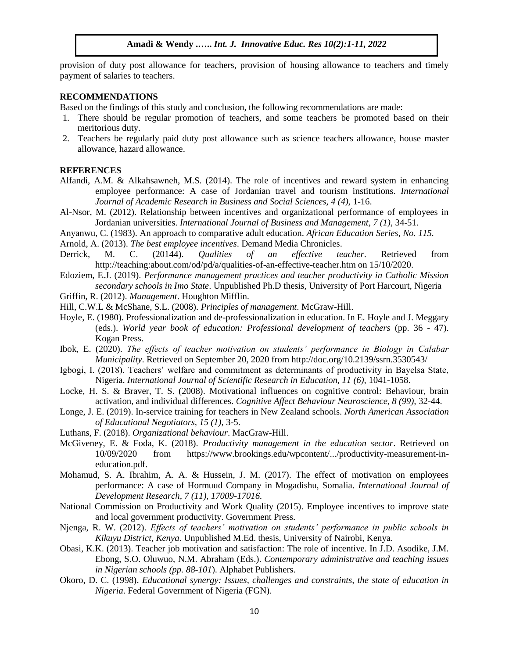provision of duty post allowance for teachers, provision of housing allowance to teachers and timely payment of salaries to teachers.

#### **RECOMMENDATIONS**

Based on the findings of this study and conclusion, the following recommendations are made:

- 1. There should be regular promotion of teachers, and some teachers be promoted based on their meritorious duty.
- 2. Teachers be regularly paid duty post allowance such as science teachers allowance, house master allowance, hazard allowance.

## **REFERENCES**

- Alfandi, A.M. & Alkahsawneh, M.S. (2014). The role of incentives and reward system in enhancing employee performance: A case of Jordanian travel and tourism institutions. *International Journal of Academic Research in Business and Social Sciences, 4 (4),* 1-16.
- Al-Nsor, M. (2012). Relationship between incentives and organizational performance of employees in Jordanian universities. *International Journal of Business and Management, 7 (1),* 34-51.
- Anyanwu, C. (1983). An approach to comparative adult education. *African Education Series, No. 115.*

Arnold, A. (2013). *The best employee incentives*. Demand Media Chronicles.

- Derrick, M. C. (20144). *Qualities of an effective teacher*. Retrieved from http://teaching:about.com/od/pd/a/qualities-of-an-effective-teacher.htm on 15/10/2020.
- Edoziem, E.J. (2019). *Performance management practices and teacher productivity in Catholic Mission secondary schools in Imo State*. Unpublished Ph.D thesis, University of Port Harcourt, Nigeria
- Griffin, R. (2012). *Management*. Houghton Mifflin.
- Hill, C.W.L & McShane, S.L. (2008). *Principles of management*. McGraw-Hill.
- Hoyle, E. (1980). Professionalization and de-professionalization in education. In E. Hoyle and J. Meggary (eds.). *World year book of education: Professional development of teachers* (pp. 36 - 47). Kogan Press.
- Ibok, E. (2020). *The effects of teacher motivation on students' performance in Biology in Calabar Municipality*. Retrieved on September 20, 2020 from http://doc.org/10.2139/ssrn.3530543/
- Igbogi, I. (2018). Teachers' welfare and commitment as determinants of productivity in Bayelsa State, Nigeria. *International Journal of Scientific Research in Education, 11 (6), 1041-1058.*
- Locke, H. S. & Braver, T. S. (2008). Motivational influences on cognitive control: Behaviour, brain activation, and individual differences. *Cognitive Affect Behaviour Neuroscience, 8 (99),* 32-44.
- Longe, J. E. (2019). In-service training for teachers in New Zealand schools. *North American Association of Educational Negotiators, 15 (1)*, 3-5.
- Luthans, F. (2018). *Organizational behaviour*. MacGraw-Hill.
- McGiveney, E. & Foda, K. (2018). *Productivity management in the education sector*. Retrieved on 10/09/2020 from https://www.brookings.edu/wpcontent/.../productivity-measurement-ineducation.pdf.
- Mohamud, S. A. Ibrahim, A. A. & Hussein, J. M. (2017). The effect of motivation on employees performance: A case of Hormuud Company in Mogadishu, Somalia. *International Journal of Development Research, 7 (11), 17009-17016.*
- National Commission on Productivity and Work Quality (2015). Employee incentives to improve state and local government productivity. Government Press.
- Njenga, R. W. (2012). *Effects of teachers' motivation on students' performance in public schools in Kikuyu District, Kenya*. Unpublished M.Ed. thesis, University of Nairobi, Kenya.
- Obasi, K.K. (2013). Teacher job motivation and satisfaction: The role of incentive. In J.D. Asodike, J.M. Ebong, S.O. Oluwuo, N.M. Abraham (Eds.). *Contemporary administrative and teaching issues in Nigerian schools (pp. 88-101*). Alphabet Publishers.
- Okoro, D. C. (1998). *Educational synergy: Issues, challenges and constraints, the state of education in Nigeria*. Federal Government of Nigeria (FGN).